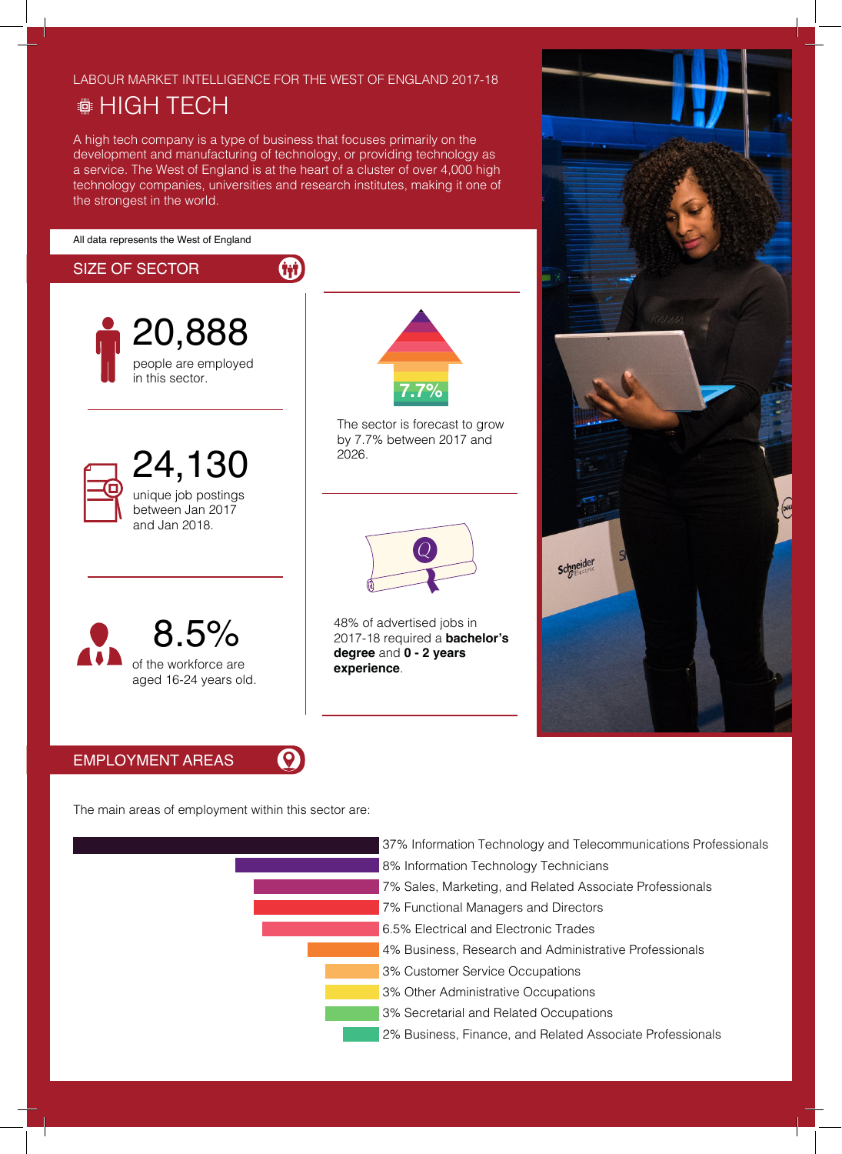# LABOUR MARKET INTELLIGENCE FOR THE WEST OF ENGLAND 2017-18

# **● HIGH TECH**

A high tech company is a type of business that focuses primarily on the development and manufacturing of technology, or providing technology as a service. The West of England is at the heart of a cluster of over 4,000 high technology companies, universities and research institutes, making it one of the strongest in the world.

# All data represents the West of England



# Schneider

EMPLOYMENT AREAS

The main areas of employment within this sector are:

 $\boldsymbol{Q}$